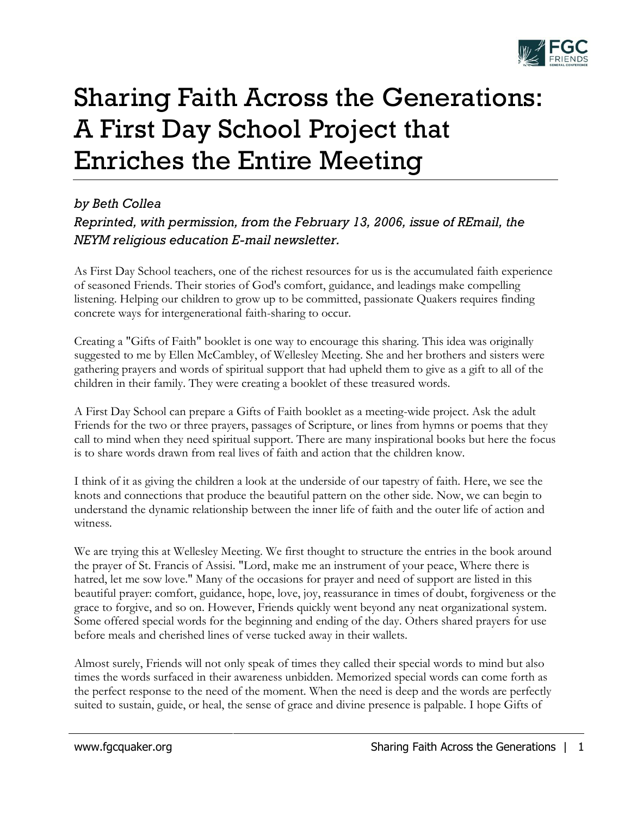

## Sharing Faith Across the Generations: A First Day School Project that Enriches the Entire Meeting

## *by Beth Collea Reprinted, with permission, from the February 13, 2006, issue of REmail, the NEYM religious education E-mail newsletter.*

As First Day School teachers, one of the richest resources for us is the accumulated faith experience of seasoned Friends. Their stories of God's comfort, guidance, and leadings make compelling listening. Helping our children to grow up to be committed, passionate Quakers requires finding concrete ways for intergenerational faith-sharing to occur.

Creating a "Gifts of Faith" booklet is one way to encourage this sharing. This idea was originally suggested to me by Ellen McCambley, of Wellesley Meeting. She and her brothers and sisters were gathering prayers and words of spiritual support that had upheld them to give as a gift to all of the children in their family. They were creating a booklet of these treasured words.

A First Day School can prepare a Gifts of Faith booklet as a meeting-wide project. Ask the adult Friends for the two or three prayers, passages of Scripture, or lines from hymns or poems that they call to mind when they need spiritual support. There are many inspirational books but here the focus is to share words drawn from real lives of faith and action that the children know.

I think of it as giving the children a look at the underside of our tapestry of faith. Here, we see the knots and connections that produce the beautiful pattern on the other side. Now, we can begin to understand the dynamic relationship between the inner life of faith and the outer life of action and witness.

We are trying this at Wellesley Meeting. We first thought to structure the entries in the book around the prayer of St. Francis of Assisi. "Lord, make me an instrument of your peace, Where there is hatred, let me sow love." Many of the occasions for prayer and need of support are listed in this beautiful prayer: comfort, guidance, hope, love, joy, reassurance in times of doubt, forgiveness or the grace to forgive, and so on. However, Friends quickly went beyond any neat organizational system. Some offered special words for the beginning and ending of the day. Others shared prayers for use before meals and cherished lines of verse tucked away in their wallets.

Almost surely, Friends will not only speak of times they called their special words to mind but also times the words surfaced in their awareness unbidden. Memorized special words can come forth as the perfect response to the need of the moment. When the need is deep and the words are perfectly suited to sustain, guide, or heal, the sense of grace and divine presence is palpable. I hope Gifts of